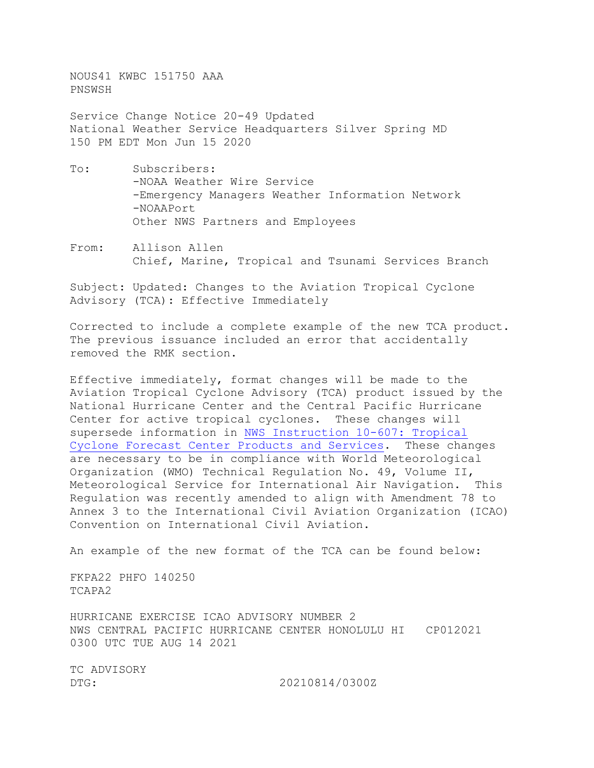NOUS41 KWBC 151750 AAA PNSWSH

Service Change Notice 20-49 Updated National Weather Service Headquarters Silver Spring MD 150 PM EDT Mon Jun 15 2020

- To: Subscribers: -NOAA Weather Wire Service -Emergency Managers Weather Information Network -NOAAPort Other NWS Partners and Employees
- From: Allison Allen Chief, Marine, Tropical and Tsunami Services Branch

Subject: Updated: Changes to the Aviation Tropical Cyclone Advisory (TCA): Effective Immediately

Corrected to include a complete example of the new TCA product. The previous issuance included an error that accidentally removed the RMK section.

Effective immediately, format changes will be made to the Aviation Tropical Cyclone Advisory (TCA) product issued by the National Hurricane Center and the Central Pacific Hurricane Center for active tropical cyclones. These changes will supersede information in NWS [Instruction 10-607: Tropical](https://www.nws.noaa.gov/directives/sym/pd01006007curr.pdf)  [Cyclone Forecast Center Products and Services.](https://www.nws.noaa.gov/directives/sym/pd01006007curr.pdf) These changes are necessary to be in compliance with World Meteorological Organization (WMO) Technical Regulation No. 49, Volume II, Meteorological Service for International Air Navigation. This Regulation was recently amended to align with Amendment 78 to Annex 3 to the International Civil Aviation Organization (ICAO) Convention on International Civil Aviation.

An example of the new format of the TCA can be found below:

FKPA22 PHFO 140250 TCAPA2

HURRICANE EXERCISE ICAO ADVISORY NUMBER 2 NWS CENTRAL PACIFIC HURRICANE CENTER HONOLULU HI CP012021 0300 UTC TUE AUG 14 2021

TC ADVISORY<br>DTG:

DTG: 20210814/0300Z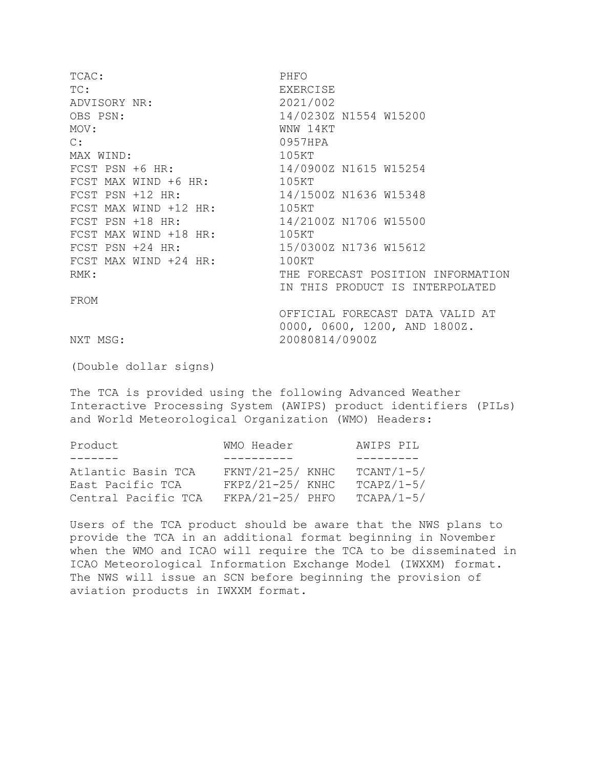TCAC: PHFO TC:<br>
ADVISORY NR:<br>
ADVISORY NR:<br>
2021/002 ADVISORY NR: OBS PSN: 14/0230Z N1554 W15200<br>MOV: WNW 14KT MOV: WNW 14KT<br>C: 0957HPA 0957HPA<br>105KT MAX WIND:<br>FCST PSN +6 HR: 14/0900Z N1615 W15254<br>105KT FCST MAX WIND +6 HR:<br>FCST PSN +12 HR: 14/1500Z N1636 W15348<br>105KT FCST MAX WIND +12 HR:<br>FCST PSN +18 HR: 14/2100Z N1706 W15500<br>105KT FCST MAX WIND +18 HR:<br>FCST PSN +24 HR: 15/0300Z N1736 W15612<br>100KT FCST MAX WIND  $+24$  HR: RMK: THE FORECAST POSITION INFORMATION IN THIS PRODUCT IS INTERPOLATED FROM OFFICIAL FORECAST DATA VALID AT 0000, 0600, 1200, AND 1800Z. NXT MSG: 20080814/0900Z

(Double dollar signs)

The TCA is provided using the following Advanced Weather Interactive Processing System (AWIPS) product identifiers (PILs) and World Meteorological Organization (WMO) Headers:

| WMO Header        | AWIPS PIL    |
|-------------------|--------------|
|                   |              |
| $FKNT/21-25/KNHC$ | $TCANT/1-5/$ |
| $FKPZ/21-25/KNHC$ | $TCAPZ/1-5/$ |
| $FKPA/21-25/PHFO$ | $TCAPA/1-5/$ |
|                   |              |

Users of the TCA product should be aware that the NWS plans to provide the TCA in an additional format beginning in November when the WMO and ICAO will require the TCA to be disseminated in ICAO Meteorological Information Exchange Model (IWXXM) format. The NWS will issue an SCN before beginning the provision of aviation products in IWXXM format.